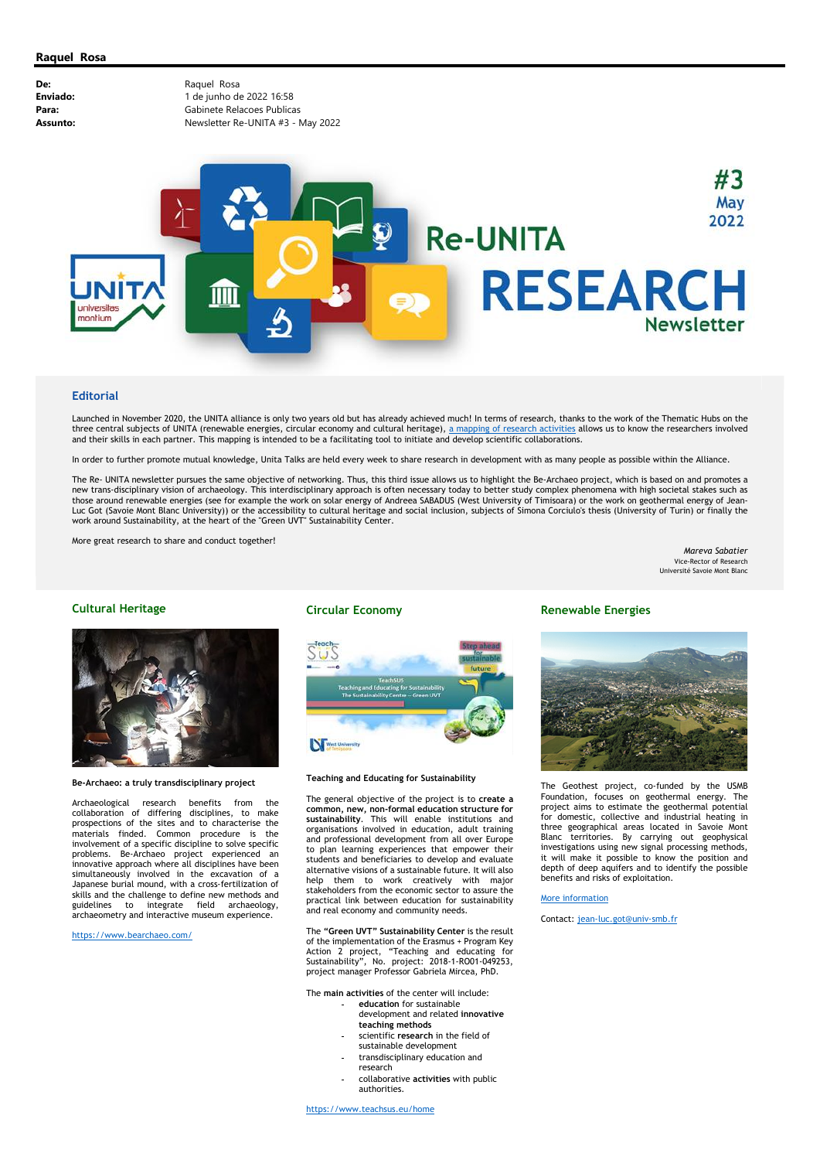

### **Editorial**

Launched in November 2020, the UNITA alliance is only two years old but has already achieved much! In terms of research, thanks to the work of the Thematic Hubs on the three central subjects of UNITA (renewable energies, circular economy and cultural heritage), a mapping of research activities allows us to know the researchers involved and their skills in each partner. This mapping is intended to be a facilitating tool to initiate and develop scientific collaborations.

In order to further promote mutual knowledge, Unita Talks are held every week to share research in development with as many people as possible within the Alliance.

The Re- UNITA newsletter pursues the same objective of networking. Thus, this third issue allows us to highlight the Be-Archaeo project, which is based on and promotes a new trans-disciplinary vision of archaeology. This interdisciplinary approach is often necessary today to better study complex phenomena with high societal stakes such as those around renewable energies (see for example the work on solar energy of Andreea SABADUS (West University of Timisoara) or the work on geothermal energy of Jean-Luc Got (Savoie Mont Blanc University)) or the accessibility to cultural heritage and social inclusion, subjects of Simona Corciulo's thesis (University of Turin) or finally the work around Sustainability, at the heart of the "Green UVT" Sustainability Center.

More great research to share and conduct together!

Mareva Sabatier Vice-Rector of Research Université Savoie Mont Blanc

### Cultural Heritage



#### Be-Archaeo: a truly transdisciplinary project

Archaeological research benefits from the collaboration of differing disciplines, to make prospections of the sites and to characterise the materials finded. Common procedure is the involvement of a specific discipline to solve specific problems. Be-Archaeo project experienced an innovative approach where all disciplines have been simultaneously involved in the excavation of a Japanese burial mound, with a cross-fertilization of skills and the challenge to define new methods and guidelines to integrate field archaeology, archaeometry and interactive museum experience.

https://www.bearchaeo.com/

## Circular Economy



Teaching and Educating for Sustainability

The general objective of the project is to create a common, new, non-formal education structure for sustainability. This will enable institutions and organisations involved in education, adult training and professional development from all over Europe to plan learning experiences that empower their students and beneficiaries to develop and evaluate alternative visions of a sustainable future. It will also help them to work creatively with major stakeholders from the economic sector to assure the practical link between education for sustainability and real economy and community needs.

The "Green UVT" Sustainability Center is the result of the implementation of the Erasmus + Program Key Action 2 project, "Teaching and educating for Sustainability", No. project: 2018-1-RO01-049253, project manager Professor Gabriela Mircea, PhD.

The main activities of the center will include:

- education for sustainable development and related innovative teaching methods
- scientific research in the field of sustainable development
- transdisciplinary education and research
- collaborative activities with public authorities.

https://www.teachsus.eu/home

# Renewable Energies



The Geothest project, co-funded by the USMB Foundation, focuses on geothermal energy. The project aims to estimate the geothermal potential for domestic, collective and industrial heating in three geographical areas located in Savoie Mont Blanc territories. By carrying out geophysical investigations using new signal processing methods, it will make it possible to know the position and depth of deep aquifers and to identify the possible benefits and risks of exploitation.

### More information

Contact: jean-luc.got@univ-smb.fr